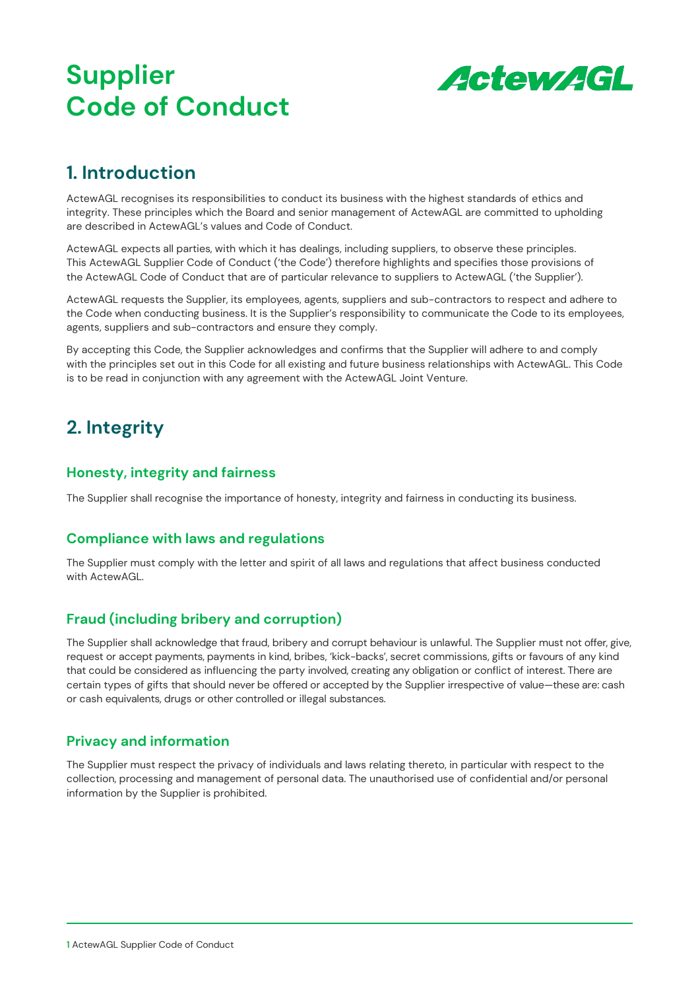# **Supplier Code of Conduct**



### **1. Introduction**

ActewAGL recognises its responsibilities to conduct its business with the highest standards of ethics and integrity. These principles which the Board and senior management of ActewAGL are committed to upholding are described in ActewAGL's values and Code of Conduct.

ActewAGL expects all parties, with which it has dealings, including suppliers, to observe these principles. This ActewAGL Supplier Code of Conduct ('the Code') therefore highlights and specifies those provisions of the ActewAGL Code of Conduct that are of particular relevance to suppliers to ActewAGL ('the Supplier').

ActewAGL requests the Supplier, its employees, agents, suppliers and sub-contractors to respect and adhere to the Code when conducting business. It is the Supplier's responsibility to communicate the Code to its employees, agents, suppliers and sub-contractors and ensure they comply.

By accepting this Code, the Supplier acknowledges and confirms that the Supplier will adhere to and comply with the principles set out in this Code for all existing and future business relationships with ActewAGL. This Code is to be read in conjunction with any agreement with the ActewAGL Joint Venture.

## **2. Integrity**

#### **Honesty, integrity and fairness**

The Supplier shall recognise the importance of honesty, integrity and fairness in conducting its business.

#### **Compliance with laws and regulations**

The Supplier must comply with the letter and spirit of all laws and regulations that affect business conducted with ActewAGL.

### **Fraud (including bribery and corruption)**

The Supplier shall acknowledge that fraud, bribery and corrupt behaviour is unlawful. The Supplier must not offer, give, request or accept payments, payments in kind, bribes, 'kick-backs', secret commissions, gifts or favours of any kind that could be considered as influencing the party involved, creating any obligation or conflict of interest. There are certain types of gifts that should never be offered or accepted by the Supplier irrespective of value—these are: cash or cash equivalents, drugs or other controlled or illegal substances.

#### **Privacy and information**

The Supplier must respect the privacy of individuals and laws relating thereto, in particular with respect to the collection, processing and management of personal data. The unauthorised use of confidential and/or personal information by the Supplier is prohibited.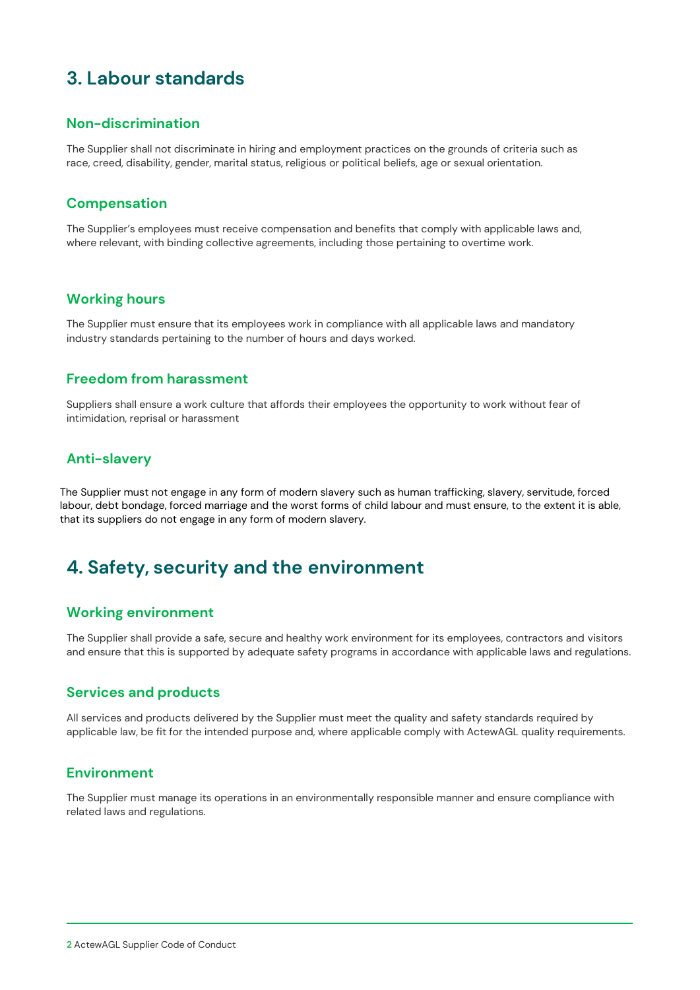# **3. Labour standards**

#### **Non-discrimination**

The Supplier shall not discriminate in hiring and employment practices on the grounds of criteria such as race, creed, disability, gender, marital status, religious or political beliefs, age or sexual orientation.

#### **Compensation**

The Supplier's employees must receive compensation and benefits that comply with applicable laws and, where relevant, with binding collective agreements, including those pertaining to overtime work.

#### **Working hours**

The Supplier must ensure that its employees work in compliance with all applicable laws and mandatory industry standards pertaining to the number of hours and days worked.

#### **Freedom from harassment**

Suppliers shall ensure a work culture that affords their employees the opportunity to work without fear of intimidation, reprisal or harassment

#### **Anti-slavery**

The Supplier must not engage in any form of modern slavery such as human trafficking, slavery, servitude, forced labour, debt bondage, forced marriage and the worst forms of child labour and must ensure, to the extent it is able, that its suppliers do not engage in any form of modern slavery.

### **4. Safety, security and the environment**

#### **Working environment**

The Supplier shall provide a safe, secure and healthy work environment for its employees, contractors and visitors and ensure that this is supported by adequate safety programs in accordance with applicable laws and regulations.

#### **Services and products**

All services and products delivered by the Supplier must meet the quality and safety standards required by applicable law, be fit for the intended purpose and, where applicable comply with ActewAGL quality requirements.

#### **Environment**

The Supplier must manage its operations in an environmentally responsible manner and ensure compliance with related laws and regulations.